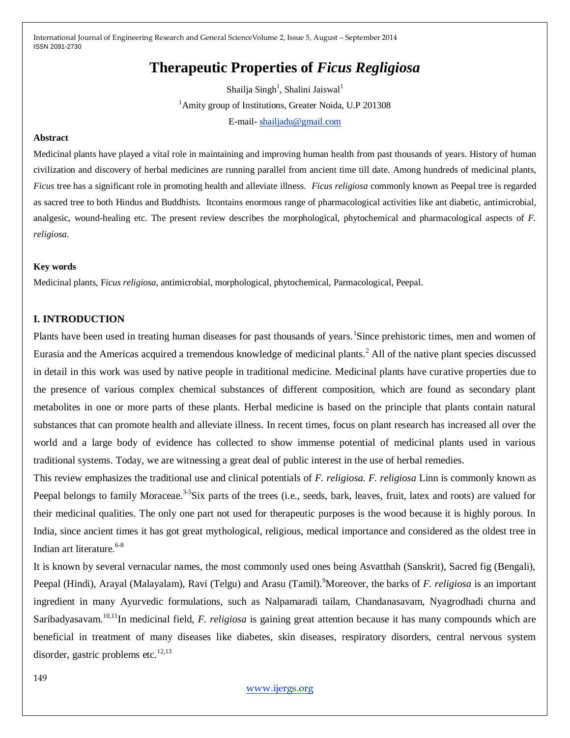# **Therapeutic Properties of** *Ficus Regligiosa*

Shailja Singh<sup>1</sup>, Shalini Jaiswal<sup>1</sup> <sup>1</sup>Amity group of Institutions, Greater Noida, U.P 201308 E-mail- [shailjadu@gmail.com](mailto:shailjadu@gmail.com)

#### **Abstract**

Medicinal plants have played a vital role in maintaining and improving human health from past thousands of years. History of human civilization and discovery of herbal medicines are running parallel from ancient time till date. Among hundreds of medicinal plants, *Ficus* tree has a significant role in promoting health and alleviate illness. *Ficus religiosa* commonly known as Peepal tree is regarded as sacred tree to both Hindus and Buddhists. Itcontains enormous range of pharmacological activities like ant diabetic, antimicrobial, analgesic, wound-healing etc. The present review describes the morphological, phytochemical and pharmacological aspects of *F. religiosa*.

#### **Key words**

Medicinal plants, F*icus religiosa,* antimicrobial, morphological, phytochemical, Parmacological, Peepal.

#### **I. INTRODUCTION**

Plants have been used in treating human diseases for past thousands of years. Since prehistoric times, men and women of Eurasia and the Americas acquired a tremendous knowledge of medicinal plants.<sup>2</sup> All of the native plant species discussed in detail in this work was used by native people in traditional medicine. Medicinal plants have curative properties due to the presence of various complex chemical substances of different composition, which are found as secondary plant metabolites in one or more parts of these plants. Herbal medicine is based on the principle that plants contain natural substances that can promote health and alleviate illness. In recent times, focus on plant research has increased all over the world and a large body of evidence has collected to show immense potential of medicinal plants used in various traditional systems. Today, we are witnessing a great deal of public interest in the use of herbal remedies.

This review emphasizes the traditional use and clinical potentials of *F. religiosa. F. religiosa* Linn is commonly known as Peepal belongs to family Moraceae.<sup>3-5</sup>Six parts of the trees (i.e., seeds, bark, leaves, fruit, latex and roots) are valued for their medicinal qualities. The only one part not used for therapeutic purposes is the wood because it is highly porous. In India, since ancient times it has got great mythological, religious, medical importance and considered as the oldest tree in Indian art literature.<sup>6-8</sup>

It is known by several vernacular names, the most commonly used ones being Asvatthah (Sanskrit), Sacred fig (Bengali), Peepal (Hindi), Arayal (Malayalam), Ravi (Telgu) and Arasu (Tamil).<sup>9</sup>Moreover, the barks of *F. religiosa* is an important ingredient in many Ayurvedic formulations, such as Nalpamaradi tailam, Chandanasavam, Nyagrodhadi churna and Saribadyasavam.10,11In medicinal field, *F. religiosa* is gaining great attention because it has many compounds which are beneficial in treatment of many diseases like diabetes, skin diseases, respiratory disorders, central nervous system disorder, gastric problems etc. $^{12,13}$ 

#### [www.ijergs.org](http://www.ijergs.org/)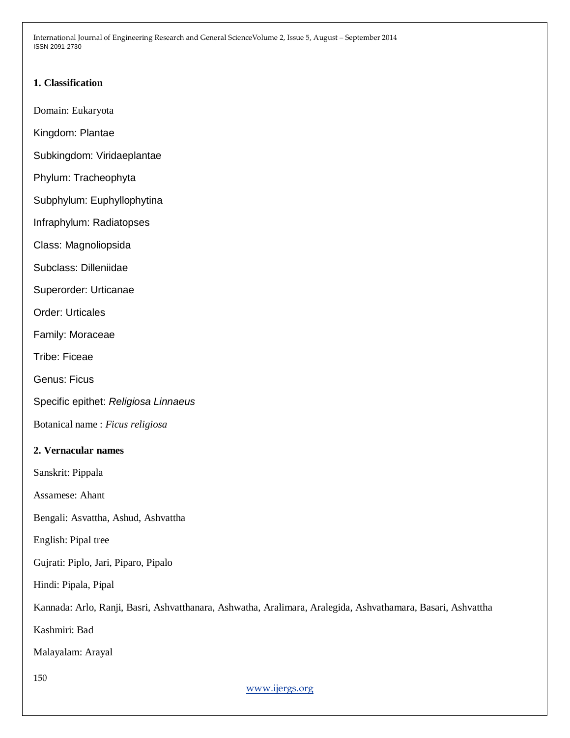# **1. Classification**

Domain: Eukaryota

Kingdom: Plantae

- Subkingdom: Viridaeplantae
- Phylum: Tracheophyta
- Subphylum: Euphyllophytina
- Infraphylum: Radiatopses
- Class: Magnoliopsida
- Subclass: Dilleniidae
- Superorder: Urticanae
- Order: Urticales
- Family: Moraceae
- Tribe: Ficeae
- Genus: Ficus
- Specific epithet: *Religiosa Linnaeus*
- Botanical name : *Ficus religiosa*

## **2. Vernacular names**

- Sanskrit: Pippala
- Assamese: Ahant
- Bengali: Asvattha, Ashud, Ashvattha
- English: Pipal tree
- Gujrati: Piplo, Jari, Piparo, Pipalo
- Hindi: Pipala, Pipal
- Kannada: Arlo, Ranji, Basri, Ashvatthanara, Ashwatha, Aralimara, Aralegida, Ashvathamara, Basari, Ashvattha
- Kashmiri: Bad
- Malayalam: Arayal
- 150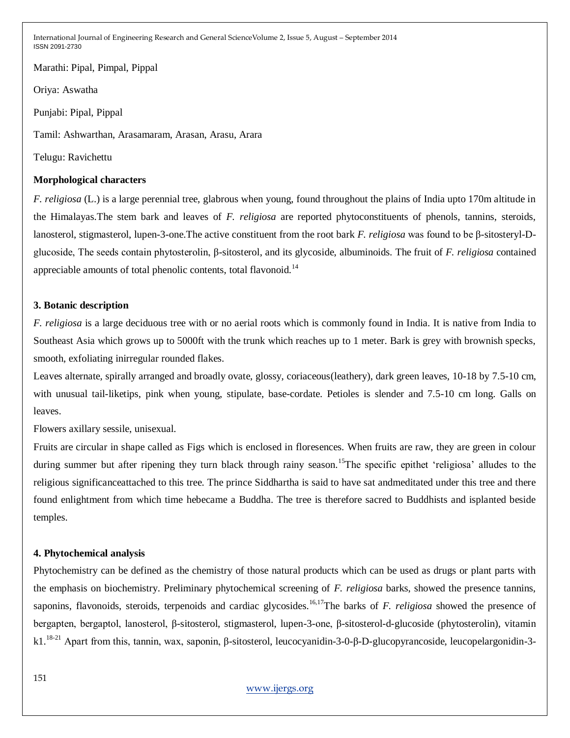Marathi: Pipal, Pimpal, Pippal

Oriya: Aswatha

Punjabi: Pipal, Pippal

Tamil: Ashwarthan, Arasamaram, Arasan, Arasu, Arara

Telugu: Ravichettu

#### **Morphological characters**

*F. religiosa* (L.) is a large perennial tree, glabrous when young, found throughout the plains of India upto 170m altitude in the Himalayas.The stem bark and leaves of *F. religiosa* are reported phytoconstituents of phenols, tannins, steroids, lanosterol, stigmasterol, lupen-3-one.The active constituent from the root bark *F. religiosa* was found to be β-sitosteryl-Dglucoside, The seeds contain phytosterolin, β-sitosterol, and its glycoside, albuminoids. The fruit of *F. religiosa* contained appreciable amounts of total phenolic contents, total flavonoid.<sup>14</sup>

## **3. Botanic description**

*F. religiosa* is a large deciduous tree with or no aerial roots which is commonly found in India. It is native from India to Southeast Asia which grows up to 5000ft with the trunk which reaches up to 1 meter. Bark is grey with brownish specks, smooth, exfoliating inirregular rounded flakes.

Leaves alternate, spirally arranged and broadly ovate, glossy, coriaceous(leathery), dark green leaves, 10-18 by 7.5-10 cm, with unusual tail-liketips, pink when young, stipulate, base-cordate. Petioles is slender and 7.5-10 cm long. Galls on leaves.

Flowers axillary sessile, unisexual.

Fruits are circular in shape called as Figs which is enclosed in floresences. When fruits are raw, they are green in colour during summer but after ripening they turn black through rainy season.<sup>15</sup>The specific epithet 'religiosa' alludes to the religious significanceattached to this tree. The prince Siddhartha is said to have sat andmeditated under this tree and there found enlightment from which time hebecame a Buddha. The tree is therefore sacred to Buddhists and isplanted beside temples.

## **4. Phytochemical analysis**

Phytochemistry can be defined as the chemistry of those natural products which can be used as drugs or plant parts with the emphasis on biochemistry. Preliminary phytochemical screening of *F. religiosa* barks, showed the presence tannins, saponins, flavonoids, steroids, terpenoids and cardiac glycosides.<sup>16,17</sup>The barks of *F. religiosa* showed the presence of bergapten, bergaptol, lanosterol, β-sitosterol, stigmasterol, lupen-3-one, β-sitosterol-d-glucoside (phytosterolin), vitamin k1.18-21 Apart from this, tannin, wax, saponin, β-sitosterol, leucocyanidin-3-0-β-D-glucopyrancoside, leucopelargonidin-3-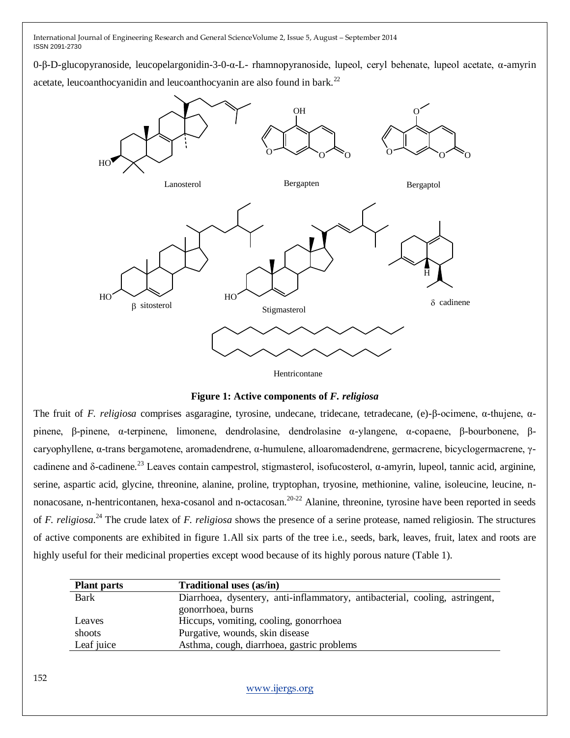0-β-D-glucopyranoside, leucopelargonidin-3-0-α-L- rhamnopyranoside, lupeol, ceryl behenate, lupeol acetate, α-amyrin

acetate, leucoanthocyanidin and leucoanthocyanin are also found in bark.<sup>22</sup>



Hentricontane

**Figure 1: Active components of** *F. religiosa*

The fruit of *F. religiosa* comprises asgaragine, tyrosine, undecane, tridecane, tetradecane, (e)-β-ocimene, α-thujene, αpinene, β-pinene, α-terpinene, limonene, dendrolasine, dendrolasine α-ylangene, α-copaene, β-bourbonene, βcaryophyllene, α-trans bergamotene, aromadendrene, α-humulene, alloaromadendrene, germacrene, bicyclogermacrene, γcadinene and δ-cadinene.<sup>23</sup> Leaves contain campestrol, stigmasterol, isofucosterol, α-amyrin, lupeol, tannic acid, arginine, serine, aspartic acid, glycine, threonine, alanine, proline, tryptophan, tryosine, methionine, valine, isoleucine, leucine, nnonacosane, n-hentricontanen, hexa-cosanol and n-octacosan.<sup>20-22</sup> Alanine, threonine, tyrosine have been reported in seeds of *F. religiosa*. <sup>24</sup> The crude latex of *F. religiosa* shows the presence of a serine protease, named religiosin. The structures of active components are exhibited in figure 1.All six parts of the tree i.e., seeds, bark, leaves, fruit, latex and roots are highly useful for their medicinal properties except wood because of its highly porous nature (Table 1).

| <b>Plant parts</b> | <b>Traditional uses (as/in)</b>                                              |
|--------------------|------------------------------------------------------------------------------|
| <b>Bark</b>        | Diarrhoea, dysentery, anti-inflammatory, antibacterial, cooling, astringent, |
|                    | gonorrhoea, burns                                                            |
| Leaves             | Hiccups, vomiting, cooling, gonorrhoea                                       |
| shoots             | Purgative, wounds, skin disease                                              |
| Leaf juice         | Asthma, cough, diarrhoea, gastric problems                                   |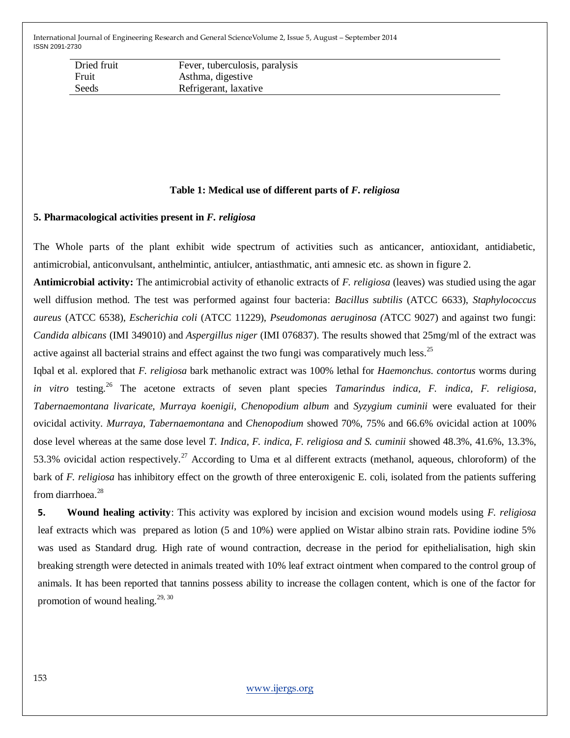| Dried fruit | Fever, tuberculosis, paralysis |
|-------------|--------------------------------|
| Fruit       | Asthma, digestive              |
| Seeds       | Refrigerant, laxative          |

#### **Table 1: Medical use of different parts of** *F. religiosa*

## **5. Pharmacological activities present in** *F. religiosa*

The Whole parts of the plant exhibit wide spectrum of activities such as anticancer, antioxidant, antidiabetic, antimicrobial, anticonvulsant, anthelmintic, antiulcer, antiasthmatic, anti amnesic etc. as shown in figure 2.

**Antimicrobial activity:** The antimicrobial activity of ethanolic extracts of *F. religiosa* (leaves) was studied using the agar well diffusion method. The test was performed against four bacteria: *Bacillus subtilis* (ATCC 6633), *Staphylococcus aureus* (ATCC 6538), *Escherichia coli* (ATCC 11229), *Pseudomonas aeruginosa (*ATCC 9027) and against two fungi: *Candida albicans* (IMI 349010) and *Aspergillus niger* (IMI 076837). The results showed that 25mg/ml of the extract was active against all bacterial strains and effect against the two fungi was comparatively much less.<sup>25</sup>

Iqbal et al. explored that *F. religiosa* bark methanolic extract was 100% lethal for *Haemonchus. contortus* worms during *in vitro* testing.<sup>26</sup> The acetone extracts of seven plant species *Tamarindus indica, F. indica, F. religiosa, Tabernaemontana livaricate, Murraya koenigii, Chenopodium album* and *Syzygium cuminii* were evaluated for their ovicidal activity. *Murraya, Tabernaemontana* and *Chenopodium* showed 70%, 75% and 66.6% ovicidal action at 100% dose level whereas at the same dose level *T. Indica, F. indica, F. religiosa and S. cuminii* showed 48.3%, 41.6%, 13.3%, 53.3% ovicidal action respectively.<sup>27</sup> According to Uma et al different extracts (methanol, aqueous, chloroform) of the bark of *F. religiosa* has inhibitory effect on the growth of three enteroxigenic E. coli, isolated from the patients suffering from diarrhoea.<sup>28</sup>

**5. Wound healing activity**: This activity was explored by incision and excision wound models using *F. religiosa* leaf extracts which was prepared as lotion (5 and 10%) were applied on Wistar albino strain rats. Povidine iodine 5% was used as Standard drug. High rate of wound contraction, decrease in the period for epithelialisation, high skin breaking strength were detected in animals treated with 10% leaf extract ointment when compared to the control group of animals. It has been reported that tannins possess ability to increase the collagen content, which is one of the factor for promotion of wound healing. $29, 30$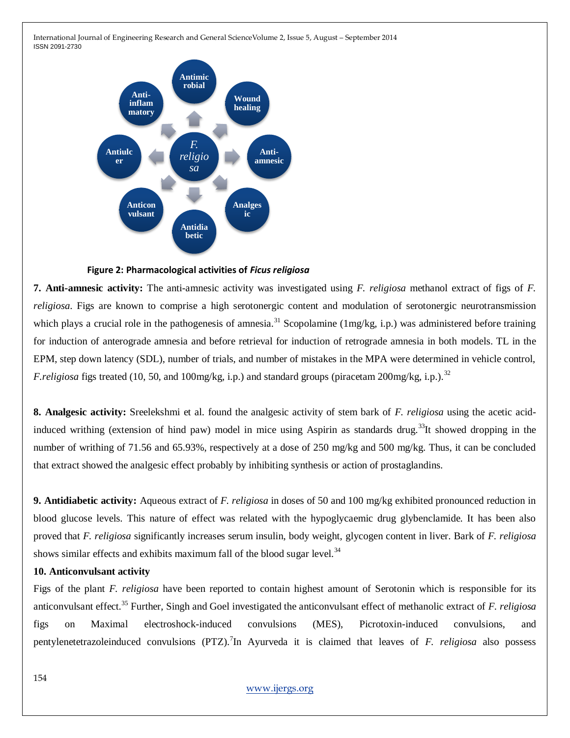

## **Figure 2: Pharmacological activities of** *Ficus religiosa*

**7. Anti-amnesic activity:** The anti-amnesic activity was investigated using *F. religiosa* methanol extract of figs of *F. religiosa*. Figs are known to comprise a high serotonergic content and modulation of serotonergic neurotransmission which plays a crucial role in the pathogenesis of amnesia.<sup>31</sup> Scopolamine (1mg/kg, i.p.) was administered before training for induction of anterograde amnesia and before retrieval for induction of retrograde amnesia in both models. TL in the EPM, step down latency (SDL), number of trials, and number of mistakes in the MPA were determined in vehicle control, *F.religiosa* figs treated (10, 50, and 100mg/kg, i.p.) and standard groups (piracetam 200mg/kg, i.p.).<sup>32</sup>

**8. Analgesic activity:** Sreelekshmi et al. found the analgesic activity of stem bark of *F. religiosa* using the acetic acidinduced writhing (extension of hind paw) model in mice using Aspirin as standards drug.<sup>33</sup>It showed dropping in the number of writhing of 71.56 and 65.93%, respectively at a dose of 250 mg/kg and 500 mg/kg. Thus, it can be concluded that extract showed the analgesic effect probably by inhibiting synthesis or action of prostaglandins.

**9. Antidiabetic activity:** Aqueous extract of *F. religiosa* in doses of 50 and 100 mg/kg exhibited pronounced reduction in blood glucose levels. This nature of effect was related with the hypoglycaemic drug glybenclamide. It has been also proved that *F. religiosa* significantly increases serum insulin, body weight, glycogen content in liver. Bark of *F. religiosa* shows similar effects and exhibits maximum fall of the blood sugar level. $34$ 

#### **10. Anticonvulsant activity**

Figs of the plant *F. religiosa* have been reported to contain highest amount of Serotonin which is responsible for its anticonvulsant effect.<sup>35</sup> Further, Singh and Goel investigated the anticonvulsant effect of methanolic extract of *F. religiosa* figs on Maximal electroshock-induced convulsions (MES), Picrotoxin-induced convulsions, and pentylenetetrazoleinduced convulsions (PTZ).<sup>7</sup>In Ayurveda it is claimed that leaves of *F. religiosa* also possess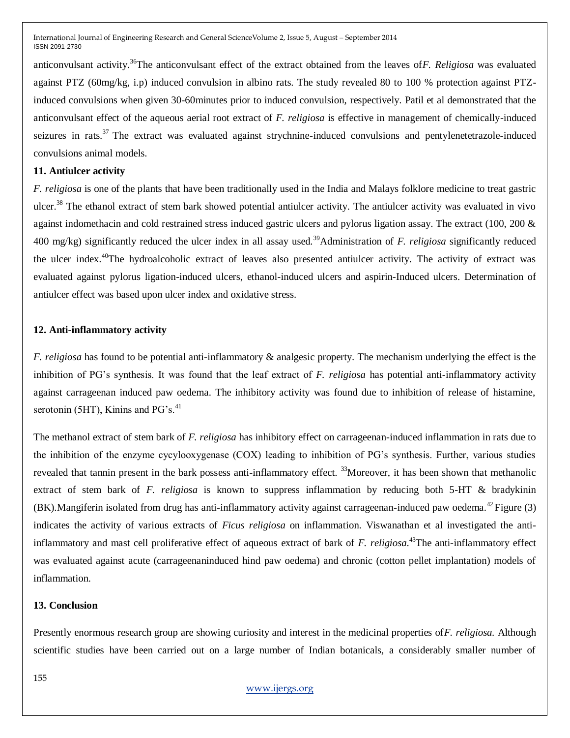anticonvulsant activity.<sup>36</sup>The anticonvulsant effect of the extract obtained from the leaves of*F. Religiosa* was evaluated against PTZ (60mg/kg, i.p) induced convulsion in albino rats. The study revealed 80 to 100 % protection against PTZinduced convulsions when given 30-60minutes prior to induced convulsion, respectively. Patil et al demonstrated that the anticonvulsant effect of the aqueous aerial root extract of *F. religiosa* is effective in management of chemically-induced seizures in rats.<sup>37</sup> The extract was evaluated against strychnine-induced convulsions and pentylenetetrazole-induced convulsions animal models.

#### **11. Antiulcer activity**

*F. religiosa* is one of the plants that have been traditionally used in the India and Malays folklore medicine to treat gastric ulcer.<sup>38</sup> The ethanol extract of stem bark showed potential antiulcer activity. The antiulcer activity was evaluated in vivo against indomethacin and cold restrained stress induced gastric ulcers and pylorus ligation assay. The extract (100, 200 & 400 mg/kg) significantly reduced the ulcer index in all assay used.<sup>39</sup>Administration of *F. religiosa* significantly reduced the ulcer index.<sup>40</sup>The hydroalcoholic extract of leaves also presented antiulcer activity. The activity of extract was evaluated against pylorus ligation-induced ulcers, ethanol-induced ulcers and aspirin-Induced ulcers. Determination of antiulcer effect was based upon ulcer index and oxidative stress.

#### **12. Anti-inflammatory activity**

*F. religiosa* has found to be potential anti-inflammatory & analgesic property. The mechanism underlying the effect is the inhibition of PG"s synthesis. It was found that the leaf extract of *F. religiosa* has potential anti-inflammatory activity against carrageenan induced paw oedema. The inhibitory activity was found due to inhibition of release of histamine, serotonin (5HT), Kinins and  $PG's$ .<sup>41</sup>

The methanol extract of stem bark of *F. religiosa* has inhibitory effect on carrageenan-induced inflammation in rats due to the inhibition of the enzyme cycylooxygenase (COX) leading to inhibition of PG"s synthesis. Further, various studies revealed that tannin present in the bark possess anti-inflammatory effect. <sup>33</sup>Moreover, it has been shown that methanolic extract of stem bark of *F. religiosa* is known to suppress inflammation by reducing both 5-HT & bradykinin  $(BK)$ .Mangiferin isolated from drug has anti-inflammatory activity against carrageenan-induced paw oedema.<sup>42</sup>Figure (3) indicates the activity of various extracts of *Ficus religiosa* on inflammation. Viswanathan et al investigated the antiinflammatory and mast cell proliferative effect of aqueous extract of bark of *F. religiosa*. <sup>43</sup>The anti-inflammatory effect was evaluated against acute (carrageenaninduced hind paw oedema) and chronic (cotton pellet implantation) models of inflammation.

#### **13. Conclusion**

Presently enormous research group are showing curiosity and interest in the medicinal properties of*F. religiosa.* Although scientific studies have been carried out on a large number of Indian botanicals, a considerably smaller number of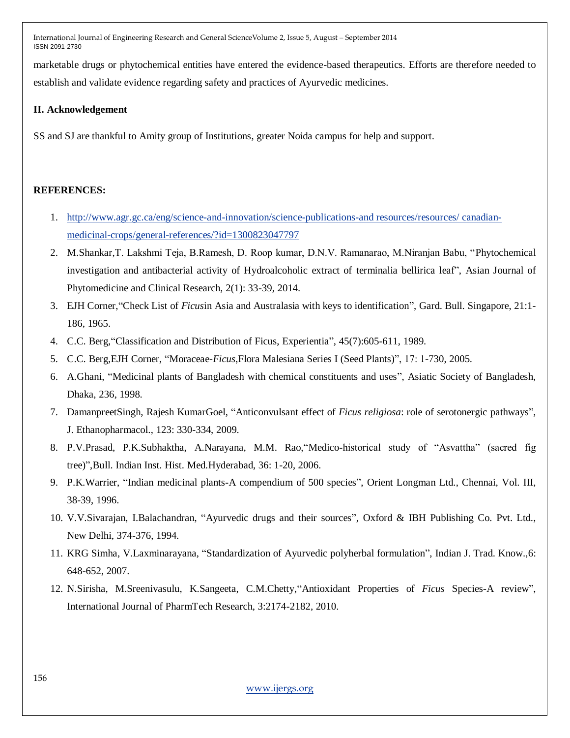marketable drugs or phytochemical entities have entered the evidence-based therapeutics. Efforts are therefore needed to establish and validate evidence regarding safety and practices of Ayurvedic medicines.

## **II. Acknowledgement**

SS and SJ are thankful to Amity group of Institutions, greater Noida campus for help and support.

## **REFERENCES:**

- 1. [http://www.agr.gc.ca/eng/science-and-innovation/science-publications-and resources/resources/ canadian](http://www.agr.gc.ca/eng/science-and-innovation/science-publications-and%20resources/resources/%20canadian-medicinal-crops/general-references/?id=1300823047797)[medicinal-crops/general-references/?id=1300823047797](http://www.agr.gc.ca/eng/science-and-innovation/science-publications-and%20resources/resources/%20canadian-medicinal-crops/general-references/?id=1300823047797)
- 2. M.Shankar,T. Lakshmi Teja, B.Ramesh, D. Roop kumar, D.N.V. Ramanarao, M.Niranjan Babu, "Phytochemical investigation and antibacterial activity of Hydroalcoholic extract of terminalia bellirica leaf", Asian Journal of Phytomedicine and Clinical Research, 2(1): 33-39, 2014.
- 3. EJH Corner,"Check List of *Ficus*in Asia and Australasia with keys to identification", Gard. Bull. Singapore, 21:1- 186, 1965.
- 4. C.C. Berg,"Classification and Distribution of Ficus, Experientia", 45(7):605-611, 1989.
- 5. C.C. Berg,EJH Corner, "Moraceae-*Ficus*,Flora Malesiana Series I (Seed Plants)", 17: 1-730, 2005.
- 6. A.Ghani, "Medicinal plants of Bangladesh with chemical constituents and uses", Asiatic Society of Bangladesh, Dhaka, 236, 1998.
- 7. DamanpreetSingh, Rajesh KumarGoel, "Anticonvulsant effect of *Ficus religiosa*: role of serotonergic pathways", J. Ethanopharmacol., 123: 330-334, 2009.
- 8. P.V.Prasad, P.K.Subhaktha, A.Narayana, M.M. Rao,"Medico-historical study of "Asvattha" (sacred fig tree)",Bull. Indian Inst. Hist. Med.Hyderabad, 36: 1-20, 2006.
- 9. P.K.Warrier, "Indian medicinal plants-A compendium of 500 species", Orient Longman Ltd., Chennai, Vol. III, 38-39, 1996.
- 10. V.V.Sivarajan, I.Balachandran, "Ayurvedic drugs and their sources", Oxford & IBH Publishing Co. Pvt. Ltd., New Delhi, 374-376, 1994.
- 11. KRG Simha, V.Laxminarayana, "Standardization of Ayurvedic polyherbal formulation", Indian J. Trad. Know.,6: 648-652, 2007.
- 12. N.Sirisha, M.Sreenivasulu, K.Sangeeta, C.M.Chetty,"Antioxidant Properties of *Ficus* Species-A review", International Journal of PharmTech Research, 3:2174-2182, 2010.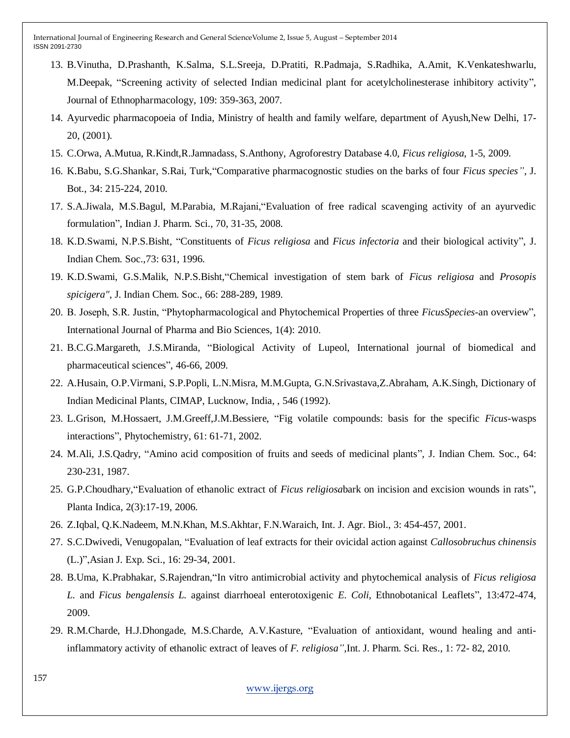- 13. B.Vinutha, D.Prashanth, K.Salma, S.L.Sreeja, D.Pratiti, R.Padmaja, S.Radhika, A.Amit, K.Venkateshwarlu, M.Deepak, "Screening activity of selected Indian medicinal plant for acetylcholinesterase inhibitory activity", Journal of Ethnopharmacology, 109: 359-363, 2007.
- 14. Ayurvedic pharmacopoeia of India, Ministry of health and family welfare, department of Ayush,New Delhi, 17- 20, (2001).
- 15. C.Orwa, A.Mutua, R.Kindt,R.Jamnadass, S.Anthony, Agroforestry Database 4.0, *Ficus religiosa*, 1-5, 2009.
- 16. K.Babu, S.G.Shankar, S.Rai, Turk,"Comparative pharmacognostic studies on the barks of four *Ficus species"*, J. Bot., 34: 215-224, 2010.
- 17. S.A.Jiwala, M.S.Bagul, M.Parabia, M.Rajani,"Evaluation of free radical scavenging activity of an ayurvedic formulation", Indian J. Pharm. Sci., 70, 31-35, 2008.
- 18. K.D.Swami, N.P.S.Bisht, "Constituents of *Ficus religiosa* and *Ficus infectoria* and their biological activity", J. Indian Chem. Soc.,73: 631, 1996.
- 19. K.D.Swami, G.S.Malik, N.P.S.Bisht,"Chemical investigation of stem bark of *Ficus religiosa* and *Prosopis spicigera"*, J. Indian Chem. Soc., 66: 288-289, 1989.
- 20. B. Joseph, S.R. Justin, "Phytopharmacological and Phytochemical Properties of three *FicusSpecies*-an overview", International Journal of Pharma and Bio Sciences, 1(4): 2010.
- 21. B.C.G.Margareth, J.S.Miranda, "Biological Activity of Lupeol, International journal of biomedical and pharmaceutical sciences", 46-66, 2009.
- 22. A.Husain, O.P.Virmani, S.P.Popli, L.N.Misra, M.M.Gupta, G.N.Srivastava,Z.Abraham, A.K.Singh, Dictionary of Indian Medicinal Plants, CIMAP, Lucknow, India, , 546 (1992).
- 23. L.Grison, M.Hossaert, J.M.Greeff,J.M.Bessiere, "Fig volatile compounds: basis for the specific *Ficus*-wasps interactions", Phytochemistry, 61: 61-71, 2002.
- 24. M.Ali, J.S.Qadry, "Amino acid composition of fruits and seeds of medicinal plants", J. Indian Chem. Soc., 64: 230-231, 1987.
- 25. G.P.Choudhary,"Evaluation of ethanolic extract of *Ficus religiosa*bark on incision and excision wounds in rats", Planta Indica, 2(3):17-19, 2006.
- 26. Z.Iqbal, Q.K.Nadeem, M.N.Khan, M.S.Akhtar, F.N.Waraich, Int. J. Agr. Biol., 3: 454-457, 2001.
- 27. S.C.Dwivedi, Venugopalan, "Evaluation of leaf extracts for their ovicidal action against *Callosobruchus chinensis* (L.)",Asian J. Exp. Sci., 16: 29-34, 2001.
- 28. B.Uma, K.Prabhakar, S.Rajendran,"In vitro antimicrobial activity and phytochemical analysis of *Ficus religiosa L.* and *Ficus bengalensis L.* against diarrhoeal enterotoxigenic *E. Coli*, Ethnobotanical Leaflets", 13:472-474, 2009.
- 29. R.M.Charde, H.J.Dhongade, M.S.Charde, A.V.Kasture, "Evaluation of antioxidant, wound healing and antiinflammatory activity of ethanolic extract of leaves of *F. religiosa"*,Int. J. Pharm. Sci. Res., 1: 72- 82, 2010.